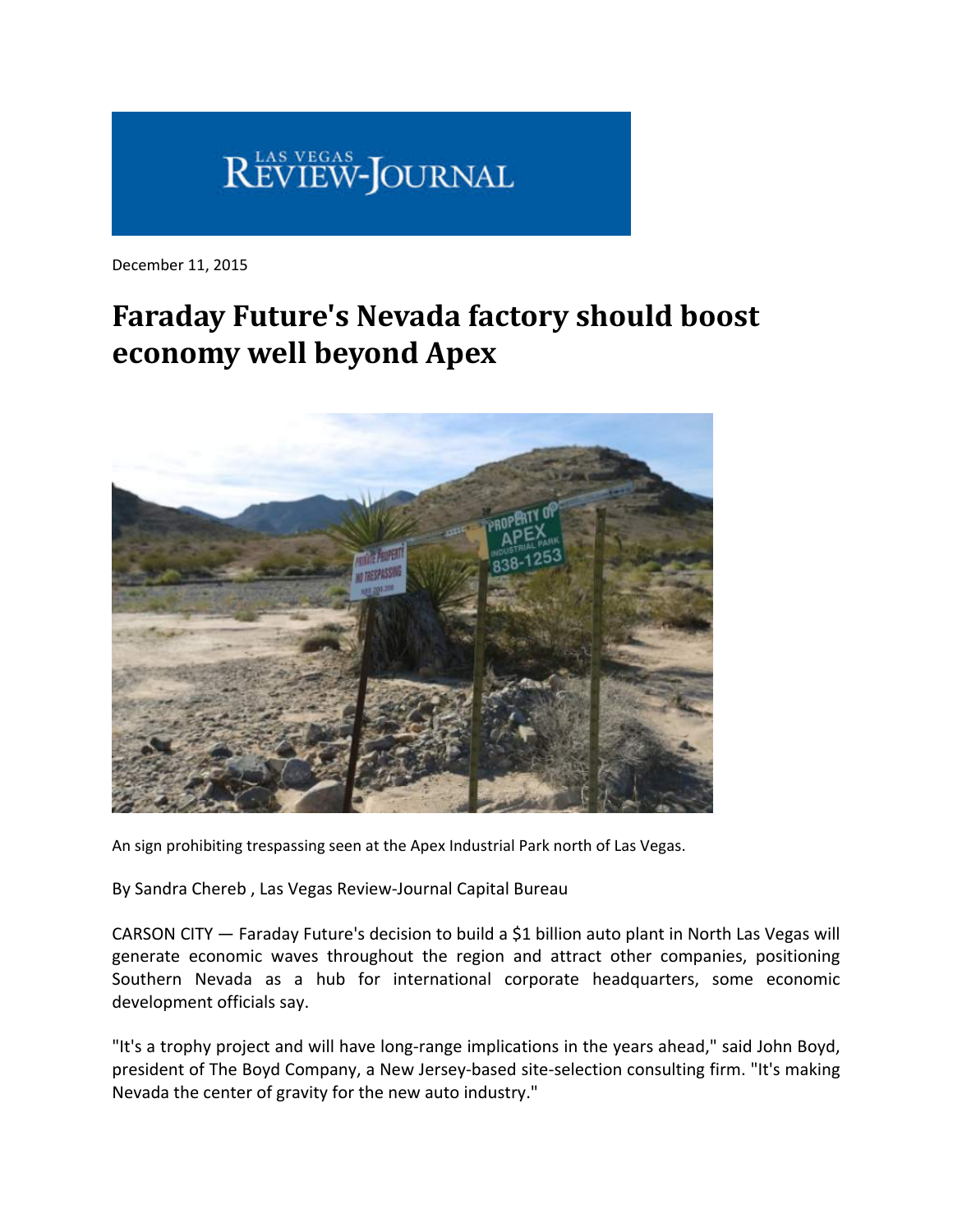

December 11, 2015

## **Faraday Future's Nevada factory should boost economy well beyond Apex**



An sign prohibiting trespassing seen at the Apex Industrial Park north of Las Vegas.

By Sandra Chereb , Las Vegas Review‐Journal Capital Bureau

CARSON CITY — Faraday Future's decision to build a \$1 billion auto plant in North Las Vegas will generate economic waves throughout the region and attract other companies, positioning Southern Nevada as a hub for international corporate headquarters, some economic development officials say.

"It's a trophy project and will have long‐range implications in the years ahead," said John Boyd, president of The Boyd Company, a New Jersey-based site-selection consulting firm. "It's making Nevada the center of gravity for the new auto industry."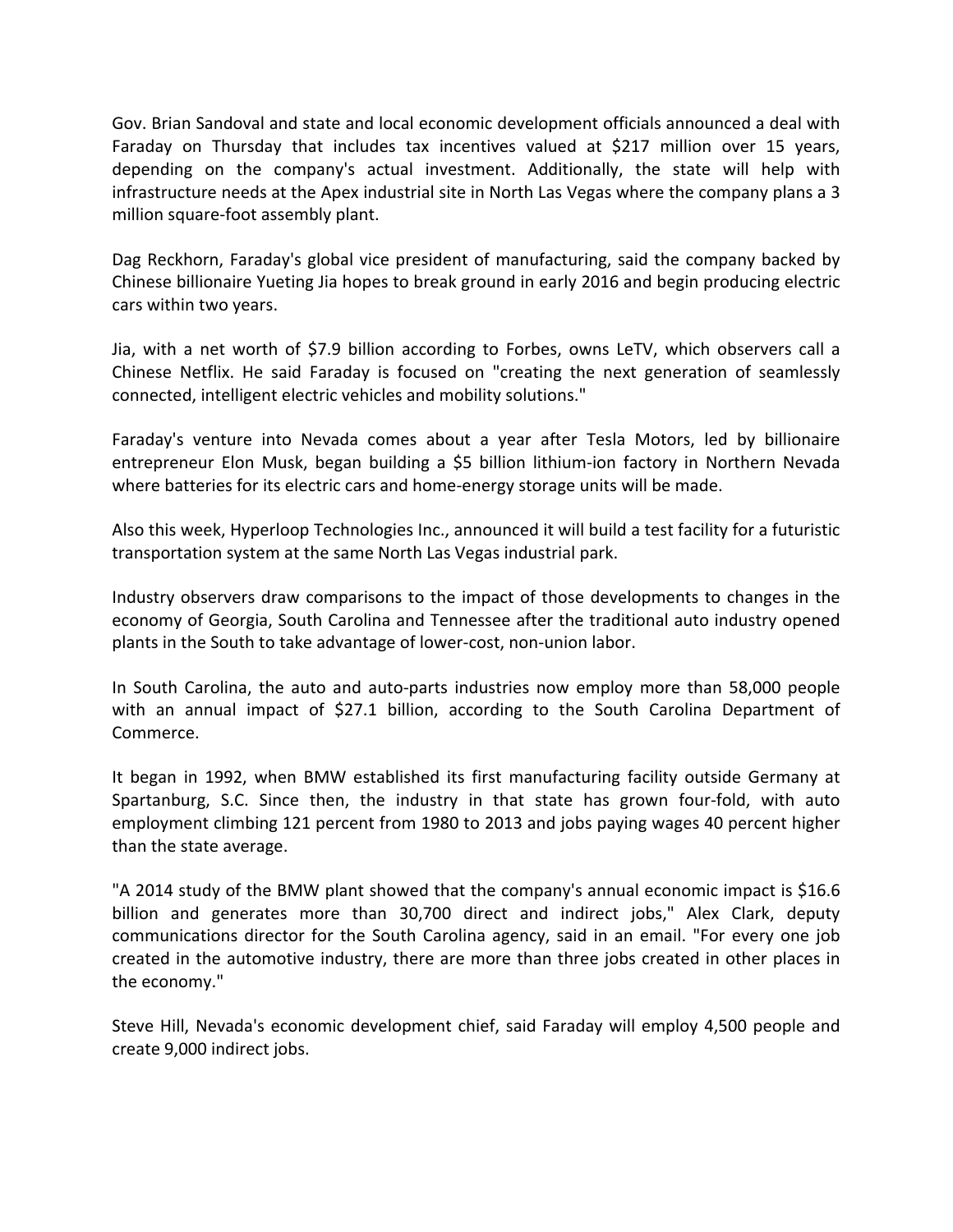Gov. Brian Sandoval and state and local economic development officials announced a deal with Faraday on Thursday that includes tax incentives valued at \$217 million over 15 years, depending on the company's actual investment. Additionally, the state will help with infrastructure needs at the Apex industrial site in North Las Vegas where the company plans a 3 million square‐foot assembly plant.

Dag Reckhorn, Faraday's global vice president of manufacturing, said the company backed by Chinese billionaire Yueting Jia hopes to break ground in early 2016 and begin producing electric cars within two years.

Jia, with a net worth of \$7.9 billion according to Forbes, owns LeTV, which observers call a Chinese Netflix. He said Faraday is focused on "creating the next generation of seamlessly connected, intelligent electric vehicles and mobility solutions."

Faraday's venture into Nevada comes about a year after Tesla Motors, led by billionaire entrepreneur Elon Musk, began building a \$5 billion lithium‐ion factory in Northern Nevada where batteries for its electric cars and home-energy storage units will be made.

Also this week, Hyperloop Technologies Inc., announced it will build a test facility for a futuristic transportation system at the same North Las Vegas industrial park.

Industry observers draw comparisons to the impact of those developments to changes in the economy of Georgia, South Carolina and Tennessee after the traditional auto industry opened plants in the South to take advantage of lower‐cost, non‐union labor.

In South Carolina, the auto and auto-parts industries now employ more than 58,000 people with an annual impact of \$27.1 billion, according to the South Carolina Department of Commerce.

It began in 1992, when BMW established its first manufacturing facility outside Germany at Spartanburg, S.C. Since then, the industry in that state has grown four-fold, with auto employment climbing 121 percent from 1980 to 2013 and jobs paying wages 40 percent higher than the state average.

"A 2014 study of the BMW plant showed that the company's annual economic impact is \$16.6 billion and generates more than 30,700 direct and indirect jobs," Alex Clark, deputy communications director for the South Carolina agency, said in an email. "For every one job created in the automotive industry, there are more than three jobs created in other places in the economy."

Steve Hill, Nevada's economic development chief, said Faraday will employ 4,500 people and create 9,000 indirect jobs.